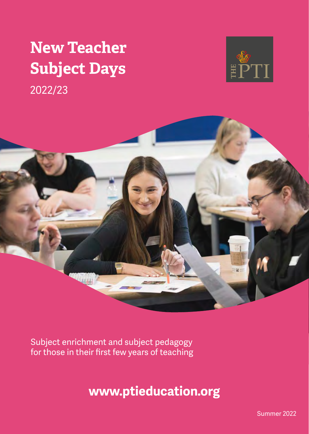# **New Teacher Subject Days**







Subject enrichment and subject pedagogy for those in their first few years of teaching

**www.ptieducation.org**

Summer 2022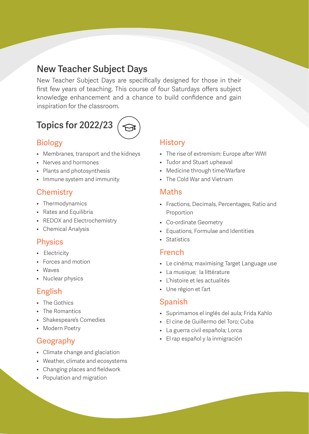# **New Teacher Subject Days**

New Teacher Subject Days are specifically designed for those in their first few years of teaching. This course of four Saturdays offers subject knowledge enhancement and a chance to build confidence and gain inspiration for the classroom.

# **Topics for 2022/23**

## Biology

- Membranes, transport and the kidneys
- Nerves and hormones
- Plants and photosynthesis
- Immune system and immunity

## **Chemistry**

- Thermodynamics
- Rates and Equilibria
- REDOX and Electrochemistry
- Chemical Analysis

#### Physics

- Electricity
- Forces and motion
- Waves
- Nuclear physics

#### English

- The Gothics
- The Romantics
- Shakespeare's Comedies
- Modern Poetry

## Geography

- Climate change and glaciation
- Weather, climate and ecosystems
- Changing places and fieldwork
- Population and migration

#### **History**

- The rise of extremism: Europe after WWI
- Tudor and Stuart upheaval
- Medicine through time/Warfare
- The Cold War and Vietnam

#### Maths

- Fractions, Decimals, Percentages, Ratio and Proportion
- Co-ordinate Geometry
- Equations, Formulae and Identities
- Statistics

#### French

- Le cinéma; maximising Target Language use
- La musique; la littérature
- L'histoire et les actualités
- Une région et l'art

#### Spanish

- Suprimamos el inglés del aula; Frida Kahlo
- El cine de Guillermo del Toro; Cuba
- La guerra civil española; Lorca
- El rap español y la inmigración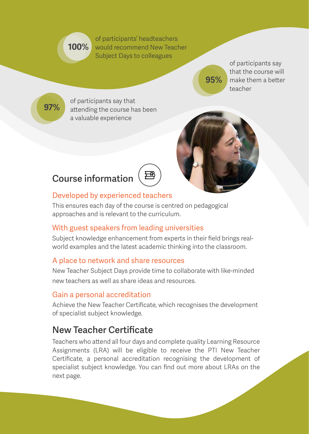**100%** would recommend New Teacher of participants' headteachers Subject Days to colleagues

of participants say that the course will make them a better teacher

**97%**

of participants say that attending the course has been a valuable experience



**95%**

# **Course information**



# Developed by experienced teachers

This ensures each day of the course is centred on pedagogical approaches and is relevant to the curriculum.

# With guest speakers from leading universities

Subject knowledge enhancement from experts in their field brings realworld examples and the latest academic thinking into the classroom.

## A place to network and share resources

New Teacher Subject Days provide time to collaborate with like-minded new teachers as well as share ideas and resources.

## Gain a personal accreditation

Achieve the New Teacher Certificate, which recognises the development of specialist subject knowledge.

# **New Teacher Certificate**

Teachers who attend all four days and complete quality Learning Resource Assignments (LRA) will be eligible to receive the PTI New Teacher Certificate, a personal accreditation recognising the development of specialist subject knowledge. You can find out more about LRAs on the next page.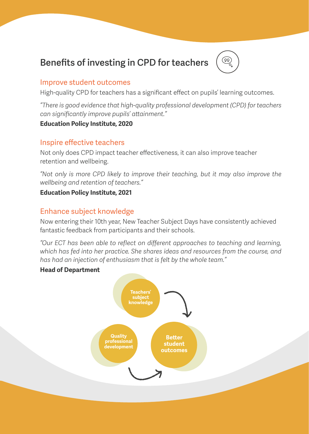# **Benefits of investing in CPD for teachers**



#### Improve student outcomes

High-quality CPD for teachers has a significant effect on pupils' learning outcomes.

*"There is good evidence that high-quality professional development (CPD) for teachers can significantly improve pupils' attainment."*

#### **Education Policy Institute, 2020**

#### Inspire effective teachers

Not only does CPD impact teacher effectiveness, it can also improve teacher retention and wellbeing.

*"Not only is more CPD likely to improve their teaching, but it may also improve the wellbeing and retention of teachers."* 

#### **Education Policy Institute, 2021**

#### Enhance subject knowledge

Now entering their 10th year, New Teacher Subject Days have consistently achieved fantastic feedback from participants and their schools.

*"Our ECT has been able to reflect on different approaches to teaching and learning, which has fed into her practice. She shares ideas and resources from the course, and has had an injection of enthusiasm that is felt by the whole team."* 

#### **Head of Department**

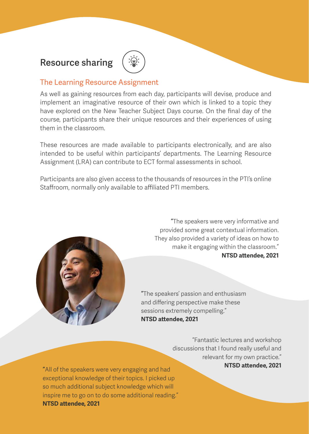# **Resource sharing**

#### The Learning Resource Assignment

As well as gaining resources from each day, participants will devise, produce and implement an imaginative resource of their own which is linked to a topic they have explored on the New Teacher Subject Days course. On the final day of the course, participants share their unique resources and their experiences of using them in the classroom.

These resources are made available to participants electronically, and are also intended to be useful within participants' departments. The Learning Resource Assignment (LRA) can contribute to ECT formal assessments in school.

Participants are also given access to the thousands of resources in the PTI's online Staffroom, normally only available to affiliated PTI members.



**"**The speakers were very informative and provided some great contextual information. They also provided a variety of ideas on how to make it engaging within the classroom." **NTSD attendee, 2021**

**"**The speakers' passion and enthusiasm and differing perspective make these sessions extremely compelling." **NTSD attendee, 2021**

> "Fantastic lectures and workshop discussions that I found really useful and relevant for my own practice."

**NTSD attendee, 2021 "**All of the speakers were very engaging and had exceptional knowledge of their topics. I picked up so much additional subject knowledge which will inspire me to go on to do some additional reading." **NTSD attendee, 2021**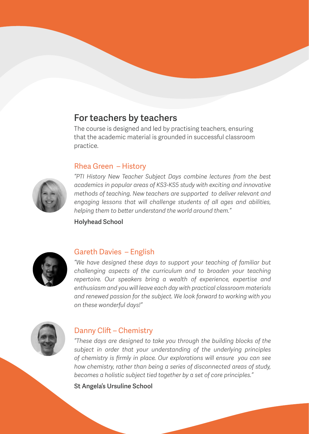# **For teachers by teachers**

The course is designed and led by practising teachers, ensuring that the academic material is grounded in successful classroom practice.

#### Rhea Green – History



*"PTI History New Teacher Subject Days combine lectures from the best academics in popular areas of KS3-KS5 study with exciting and innovative methods of teaching. New teachers are supported to deliver relevant and engaging lessons that will challenge students of all ages and abilities, helping them to better understand the world around them."*

**Holyhead School**



#### Gareth Davies – English

*"We have designed these days to support your teaching of familiar but challenging aspects of the curriculum and to broaden your teaching repertoire. Our speakers bring a wealth of experience, expertise and enthusiasm and you will leave each day with practical classroom materials and renewed passion for the subject. We look forward to working with you on these wonderful days!"*



#### Danny Clift – Chemistry

*"These days are designed to take you through the building blocks of the subject in order that your understanding of the underlying principles of chemistry is firmly in place. Our explorations will ensure you can see how chemistry, rather than being a series of disconnected areas of study, becomes a holistic subject tied together by a set of core principles."*

**St Angela's Ursuline School**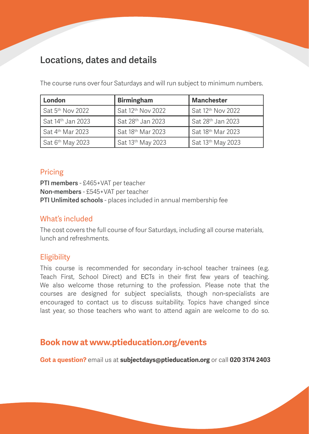# **Locations, dates and details**

The course runs over four Saturdays and will run subject to minimum numbers.

| London                                   | <b>Birmingham</b>             | <b>Manchester</b>             |
|------------------------------------------|-------------------------------|-------------------------------|
| $\mathsf I$ Sat 5 <sup>th</sup> Nov 2022 | Sat 12 <sup>th</sup> Nov 2022 | Sat 12 <sup>th</sup> Nov 2022 |
| Sat 14th Jan 2023                        | Sat 28th Jan 2023             | Sat 28th Jan 2023             |
| Sat 4th Mar 2023                         | Sat 18th Mar 2023             | Sat 18th Mar 2023             |
| Sat 6 <sup>th</sup> May 2023             | Sat 13th May 2023             | Sat 13th May 2023             |

#### Pricing

**PTI members** - £465+VAT per teacher **Non-members** - £545+VAT per teacher **PTI Unlimited schools** - places included in annual membership fee

#### What's included

The cost covers the full course of four Saturdays, including all course materials, lunch and refreshments.

## **Eligibility**

This course is recommended for secondary in-school teacher trainees (e.g. Teach First, School Direct) and ECTs in their first few years of teaching. We also welcome those returning to the profession. Please note that the courses are designed for subject specialists, though non-specialists are encouraged to contact us to discuss suitability. Topics have changed since last year, so those teachers who want to attend again are welcome to do so.

# **Book now at www.ptieducation.org/events**

**Got a question?** email us at **subjectdays@ptieducation.org** or call **020 3174 2403**